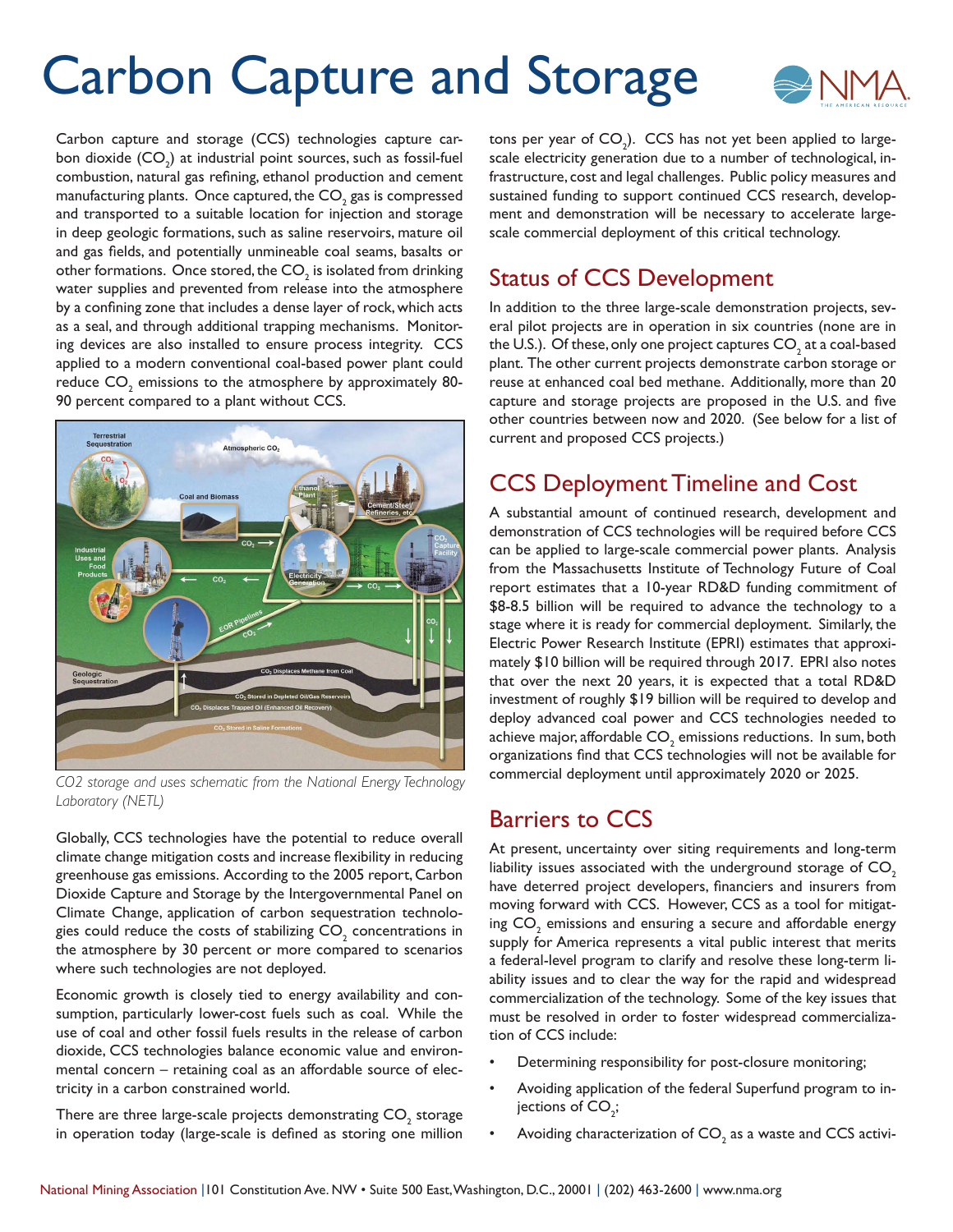# Carbon Capture and Storage



Carbon capture and storage (CCS) technologies capture carbon dioxide  $\mathsf{(CO}_2\mathsf{)}$  at industrial point sources, such as fossil-fuel combustion, natural gas refining, ethanol production and cement manufacturing plants. Once captured, the CO $_{\textrm{\tiny{2}}}$  gas is compressed and transported to a suitable location for injection and storage in deep geologic formations, such as saline reservoirs, mature oil and gas fields, and potentially unmineable coal seams, basalts or other formations. Once stored, the CO $_{\textrm{\tiny{2}}}$  is isolated from drinking water supplies and prevented from release into the atmosphere by a confining zone that includes a dense layer of rock, which acts as a seal, and through additional trapping mechanisms. Monitoring devices are also installed to ensure process integrity. CCS applied to a modern conventional coal-based power plant could reduce  $\mathsf{CO}_\mathrm{2}$  emissions to the atmosphere by approximately 80-90 percent compared to a plant without CCS.



*CO2 storage and uses schematic from the National Energy Technology Laboratory (NETL)*

Globally, CCS technologies have the potential to reduce overall climate change mitigation costs and increase flexibility in reducing greenhouse gas emissions. According to the 2005 report, Carbon Dioxide Capture and Storage by the Intergovernmental Panel on Climate Change, application of carbon sequestration technologies could reduce the costs of stabilizing  $\mathsf{CO}_2^{}$  concentrations in the atmosphere by 30 percent or more compared to scenarios where such technologies are not deployed.

Economic growth is closely tied to energy availability and consumption, particularly lower-cost fuels such as coal. While the use of coal and other fossil fuels results in the release of carbon dioxide, CCS technologies balance economic value and environmental concern – retaining coal as an affordable source of electricity in a carbon constrained world.

There are three large-scale projects demonstrating  $\mathsf{CO}_2^{}$  storage in operation today (large-scale is defined as storing one million

tons per year of CO<sub>2</sub>). CCS has not yet been applied to largescale electricity generation due to a number of technological, infrastructure, cost and legal challenges. Public policy measures and sustained funding to support continued CCS research, development and demonstration will be necessary to accelerate largescale commercial deployment of this critical technology.

## Status of CCS Development

In addition to the three large-scale demonstration projects, several pilot projects are in operation in six countries (none are in the U.S.). Of these, only one project captures  $\mathsf{CO}_\mathfrak{z}$  at a coal-based plant. The other current projects demonstrate carbon storage or reuse at enhanced coal bed methane. Additionally, more than 20 capture and storage projects are proposed in the U.S. and five other countries between now and 2020. (See below for a list of current and proposed CCS projects.)

# CCS Deployment Timeline and Cost

A substantial amount of continued research, development and demonstration of CCS technologies will be required before CCS can be applied to large-scale commercial power plants. Analysis from the Massachusetts Institute of Technology Future of Coal report estimates that a 10-year RD&D funding commitment of \$8-8.5 billion will be required to advance the technology to a stage where it is ready for commercial deployment. Similarly, the Electric Power Research Institute (EPRI) estimates that approximately \$10 billion will be required through 2017. EPRI also notes that over the next 20 years, it is expected that a total RD&D investment of roughly \$19 billion will be required to develop and deploy advanced coal power and CCS technologies needed to achieve major, affordable  $\mathsf{CO}_2$  emissions reductions. In sum, both organizations find that CCS technologies will not be available for commercial deployment until approximately 2020 or 2025.

### Barriers to CCS

At present, uncertainty over siting requirements and long-term liability issues associated with the underground storage of  $CO<sub>2</sub>$ have deterred project developers, financiers and insurers from moving forward with CCS. However, CCS as a tool for mitigating  $\mathsf{CO}_2$  emissions and ensuring a secure and affordable energy supply for America represents a vital public interest that merits a federal-level program to clarify and resolve these long-term liability issues and to clear the way for the rapid and widespread commercialization of the technology. Some of the key issues that must be resolved in order to foster widespread commercialization of CCS include:

- Determining responsibility for post-closure monitoring;
- Avoiding application of the federal Superfund program to injections of CO<sub>2</sub>;
- Avoiding characterization of  $CO_2$  as a waste and CCS activi-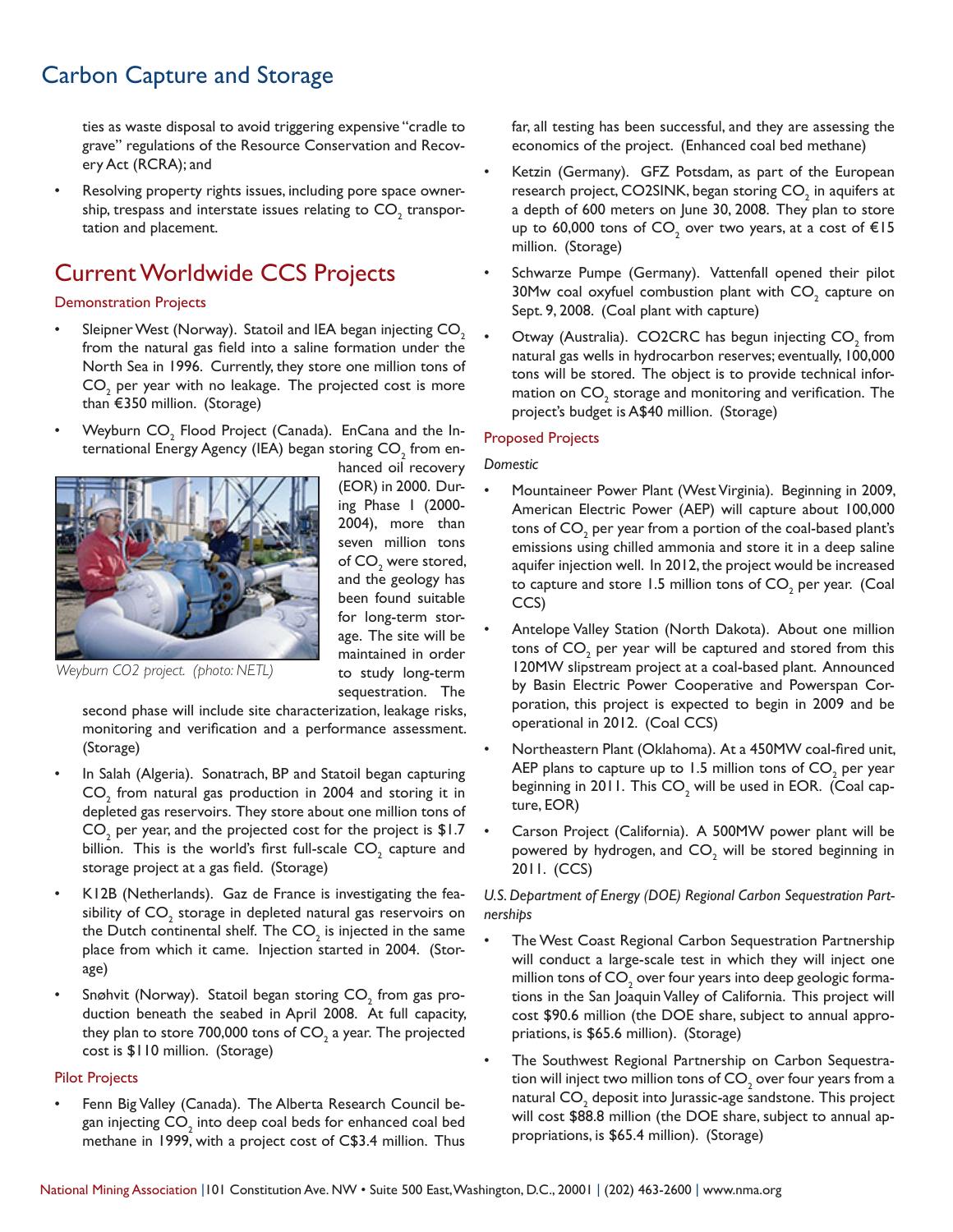# Carbon Capture and Storage

ties as waste disposal to avoid triggering expensive "cradle to grave" regulations of the Resource Conservation and Recovery Act (RCRA); and

Resolving property rights issues, including pore space ownership, trespass and interstate issues relating to  $\mathsf{CO}_\mathfrak{z}$  transportation and placement.

# Current Worldwide CCS Projects

#### Demonstration Projects

- Sleipner West (Norway). Statoil and IEA began injecting  $CO<sub>2</sub>$ from the natural gas field into a saline formation under the North Sea in 1996. Currently, they store one million tons of  $\mathsf{CO}_2$  per year with no leakage. The projected cost is more than €350 million. (Storage)
- Weyburn  $\mathsf{CO}_2^{}$  Flood Project (Canada). EnCana and the International Energy Agency (IEA) began storing CO $_{_2}$  from en-



hanced oil recovery (EOR) in 2000. During Phase 1 (2000- 2004), more than seven million tons of  $\mathsf{CO}_\text{\tiny{2}}$  were stored, and the geology has been found suitable for long-term storage. The site will be maintained in order to study long-term sequestration. The

*Weyburn CO2 project. (photo: NETL)*

second phase will include site characterization, leakage risks, monitoring and verification and a performance assessment. (Storage)

- In Salah (Algeria). Sonatrach, BP and Statoil began capturing  $\mathsf{CO}_2$  from natural gas production in 2004 and storing it in depleted gas reservoirs. They store about one million tons of  $\mathsf{CO}_2$  per year, and the projected cost for the project is  $\$1.7$ billion. This is the world's first full-scale  $\mathsf{CO}_2^{}$  capture and storage project at a gas field. (Storage)
- K12B (Netherlands). Gaz de France is investigating the feasibility of  $\mathsf{CO}_\mathbbm{2}$  storage in depleted natural gas reservoirs on the Dutch continental shelf. The  $\mathsf{CO}_2$  is injected in the same place from which it came. Injection started in 2004. (Storage)
- Snøhvit (Norway). Statoil began storing CO $_{\rm 2}$  from gas production beneath the seabed in April 2008. At full capacity, they plan to store 700,000 tons of CO<sub>2</sub> a year. The projected cost is \$110 million. (Storage)

#### Pilot Projects

• Fenn Big Valley (Canada). The Alberta Research Council began injecting CO $_{_2}$  into deep coal beds for enhanced coal bed methane in 1999, with a project cost of C\$3.4 million. Thus

far, all testing has been successful, and they are assessing the economics of the project. (Enhanced coal bed methane)

- Ketzin (Germany). GFZ Potsdam, as part of the European research project, CO2SINK, began storing CO $_{\textrm{\tiny{2}}}$  in aquifers at a depth of 600 meters on June 30, 2008. They plan to store up to 60,000 tons of CO<sub>2</sub> over two years, at a cost of  $\in$ 15 million. (Storage)
- Schwarze Pumpe (Germany). Vattenfall opened their pilot 30Mw coal oxyfuel combustion plant with  $\mathsf{CO}_2^{}$  capture on Sept. 9, 2008. (Coal plant with capture)
- Otway (Australia). CO2CRC has begun injecting  $\mathsf{CO}_2^{}$  from natural gas wells in hydrocarbon reserves; eventually, 100,000 tons will be stored. The object is to provide technical information on  $\mathsf{CO}_\mathbbm{2}$  storage and monitoring and verification. The project's budget is A\$40 million. (Storage)

#### Proposed Projects

#### *Domestic*

- Mountaineer Power Plant (West Virginia). Beginning in 2009, American Electric Power (AEP) will capture about 100,000 tons of  $\mathsf{CO}_\mathfrak{z}$  per year from a portion of the coal-based plant's emissions using chilled ammonia and store it in a deep saline aquifer injection well. In 2012, the project would be increased to capture and store 1.5 million tons of  $\mathsf{CO}_2$  per year. (Coal CCS)
- Antelope Valley Station (North Dakota). About one million tons of  $\mathsf{CO}_2^{\vphantom{2}}$  per year will be captured and stored from this 120MW slipstream project at a coal-based plant. Announced by Basin Electric Power Cooperative and Powerspan Corporation, this project is expected to begin in 2009 and be operational in 2012. (Coal CCS)
- Northeastern Plant (Oklahoma). At a 450MW coal-fired unit, AEP plans to capture up to 1.5 million tons of CO $_{_2}$  per year beginning in 2011. This  $\mathsf{CO}_2$  will be used in EOR. (Coal capture, EOR)
- Carson Project (California). A 500MW power plant will be powered by hydrogen, and  $\mathsf{CO}_2^{}$  will be stored beginning in 2011. (CCS)

*U.S. Department of Energy (DOE) Regional Carbon Sequestration Partnerships*

- The West Coast Regional Carbon Sequestration Partnership will conduct a large-scale test in which they will inject one million tons of  $\mathsf{CO}_2^{}$  over four years into deep geologic formations in the San Joaquin Valley of California. This project will cost \$90.6 million (the DOE share, subject to annual appropriations, is \$65.6 million). (Storage)
- The Southwest Regional Partnership on Carbon Sequestration will inject two million tons of CO $_{\textrm{\tiny{2}}}$  over four years from a natural CO $_{\textrm{\tiny{2}}}$  deposit into Jurassic-age sandstone. This project will cost \$88.8 million (the DOE share, subject to annual appropriations, is \$65.4 million). (Storage)